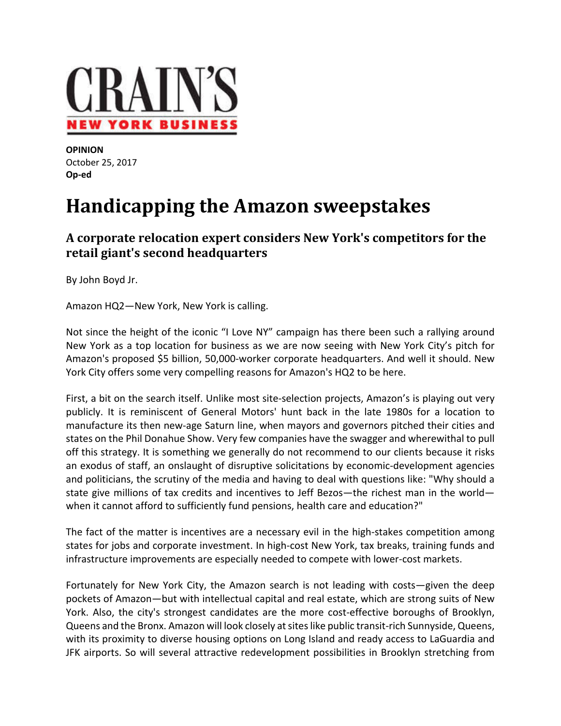

**OPINION**  October 25, 2017 **Op‐ed**

## **Handicapping the Amazon sweepstakes**

**A corporate relocation expert considers New York's competitors for the retail giant's second headquarters**

By John Boyd Jr.

Amazon HQ2—New York, New York is calling.

Not since the height of the iconic "I Love NY" campaign has there been such a rallying around New York as a top location for business as we are now seeing with New York City's pitch for Amazon's proposed \$5 billion, 50,000‐worker corporate headquarters. And well it should. New York City offers some very compelling reasons for Amazon's HQ2 to be here.

First, a bit on the search itself. Unlike most site-selection projects, Amazon's is playing out very publicly. It is reminiscent of General Motors' hunt back in the late 1980s for a location to manufacture its then new-age Saturn line, when mayors and governors pitched their cities and states on the Phil Donahue Show. Very few companies have the swagger and wherewithal to pull off this strategy. It is something we generally do not recommend to our clients because it risks an exodus of staff, an onslaught of disruptive solicitations by economic-development agencies and politicians, the scrutiny of the media and having to deal with questions like: "Why should a state give millions of tax credits and incentives to Jeff Bezos—the richest man in the world when it cannot afford to sufficiently fund pensions, health care and education?"

The fact of the matter is incentives are a necessary evil in the high-stakes competition among states for jobs and corporate investment. In high-cost New York, tax breaks, training funds and infrastructure improvements are especially needed to compete with lower‐cost markets.

Fortunately for New York City, the Amazon search is not leading with costs—given the deep pockets of Amazon—but with intellectual capital and real estate, which are strong suits of New York. Also, the city's strongest candidates are the more cost‐effective boroughs of Brooklyn, Queens and the Bronx. Amazon will look closely at sites like public transit-rich Sunnyside, Queens, with its proximity to diverse housing options on Long Island and ready access to LaGuardia and JFK airports. So will several attractive redevelopment possibilities in Brooklyn stretching from